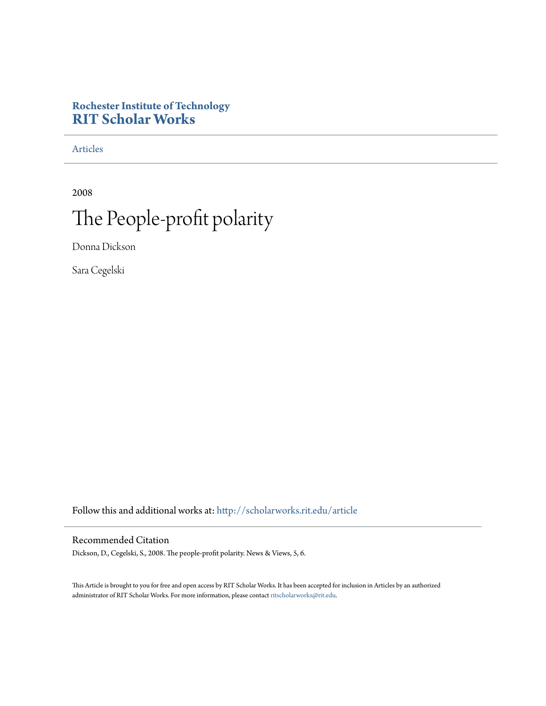### **Rochester Institute of Technology [RIT Scholar Works](http://scholarworks.rit.edu?utm_source=scholarworks.rit.edu%2Farticle%2F1199&utm_medium=PDF&utm_campaign=PDFCoverPages)**

[Articles](http://scholarworks.rit.edu/article?utm_source=scholarworks.rit.edu%2Farticle%2F1199&utm_medium=PDF&utm_campaign=PDFCoverPages)

2008

# The People-profit polarity

Donna Dickson

Sara Cegelski

Follow this and additional works at: [http://scholarworks.rit.edu/article](http://scholarworks.rit.edu/article?utm_source=scholarworks.rit.edu%2Farticle%2F1199&utm_medium=PDF&utm_campaign=PDFCoverPages)

#### Recommended Citation

Dickson, D., Cegelski, S., 2008. The people-profit polarity. News & Views, 5, 6.

This Article is brought to you for free and open access by RIT Scholar Works. It has been accepted for inclusion in Articles by an authorized administrator of RIT Scholar Works. For more information, please contact [ritscholarworks@rit.edu.](mailto:ritscholarworks@rit.edu)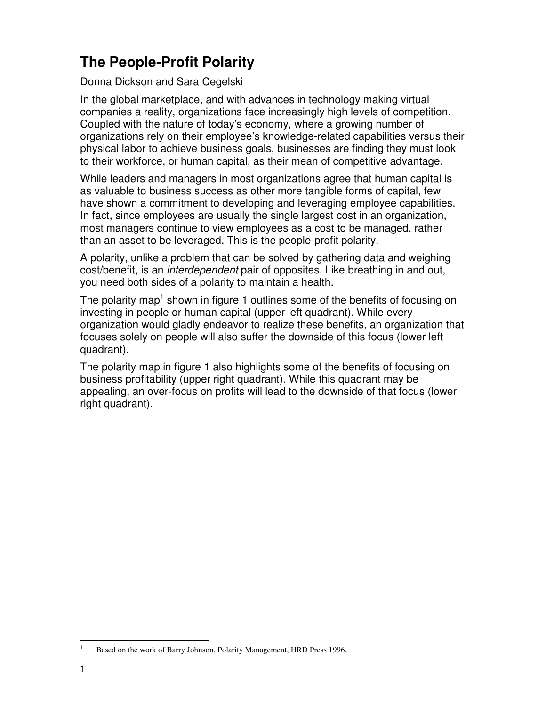## **The People-Profit Polarity**

### Donna Dickson and Sara Cegelski

In the global marketplace, and with advances in technology making virtual companies a reality, organizations face increasingly high levels of competition. Coupled with the nature of today's economy, where a growing number of organizations rely on their employee's knowledge-related capabilities versus their physical labor to achieve business goals, businesses are finding they must look to their workforce, or human capital, as their mean of competitive advantage.

While leaders and managers in most organizations agree that human capital is as valuable to business success as other more tangible forms of capital, few have shown a commitment to developing and leveraging employee capabilities. In fact, since employees are usually the single largest cost in an organization, most managers continue to view employees as a cost to be managed, rather than an asset to be leveraged. This is the people-profit polarity.

A polarity, unlike a problem that can be solved by gathering data and weighing cost/benefit, is an interdependent pair of opposites. Like breathing in and out, you need both sides of a polarity to maintain a health.

The polarity map<sup>1</sup> shown in figure 1 outlines some of the benefits of focusing on investing in people or human capital (upper left quadrant). While every organization would gladly endeavor to realize these benefits, an organization that focuses solely on people will also suffer the downside of this focus (lower left quadrant).

The polarity map in figure 1 also highlights some of the benefits of focusing on business profitability (upper right quadrant). While this quadrant may be appealing, an over-focus on profits will lead to the downside of that focus (lower right quadrant).

 $\frac{1}{1}$ 

Based on the work of Barry Johnson, Polarity Management, HRD Press 1996.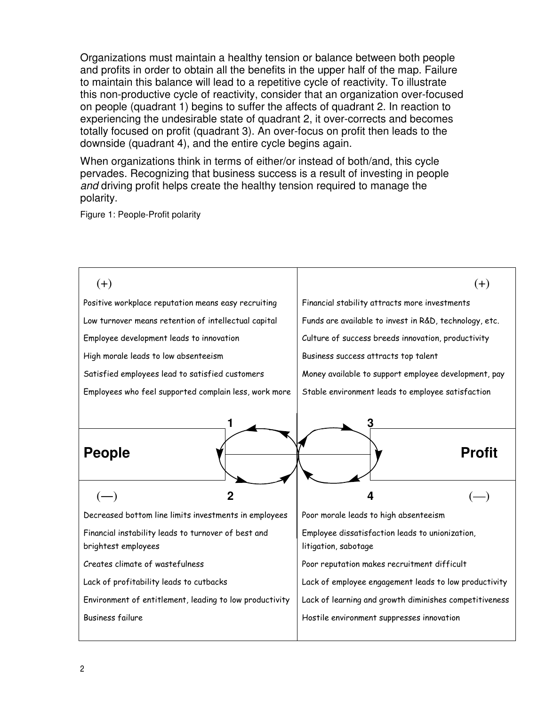Organizations must maintain a healthy tension or balance between both people and profits in order to obtain all the benefits in the upper half of the map. Failure to maintain this balance will lead to a repetitive cycle of reactivity. To illustrate this non-productive cycle of reactivity, consider that an organization over-focused on people (quadrant 1) begins to suffer the affects of quadrant 2. In reaction to experiencing the undesirable state of quadrant 2, it over-corrects and becomes totally focused on profit (quadrant 3). An over-focus on profit then leads to the downside (quadrant 4), and the entire cycle begins again.

When organizations think in terms of either/or instead of both/and, this cycle pervades. Recognizing that business success is a result of investing in people and driving profit helps create the healthy tension required to manage the polarity.

Figure 1: People-Profit polarity